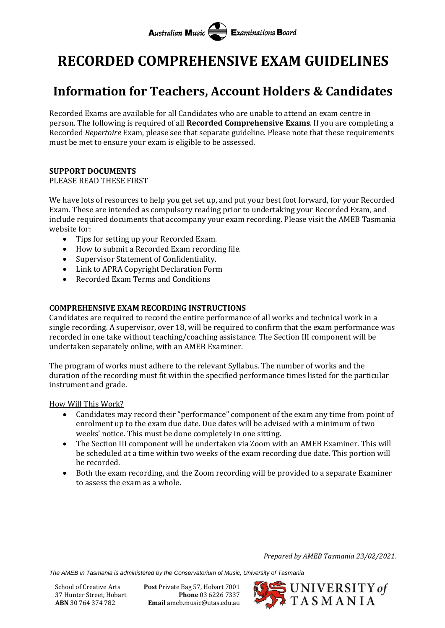# **Australian Music Examinations Board**

# **RECORDED COMPREHENSIVE EXAM GUIDELINES**

# **Information for Teachers, Account Holders & Candidates**

Recorded Exams are available for all Candidates who are unable to attend an exam centre in person. The following is required of all **Recorded Comprehensive Exams**. If you are completing a Recorded *Repertoire* Exam, please see that separate guideline. Please note that these requirements must be met to ensure your exam is eligible to be assessed.

#### **SUPPORT DOCUMENTS** PLEASE READ THESE FIRST

We have lots of resources to help you get set up, and put your best foot forward, for your Recorded Exam. These are intended as compulsory reading prior to undertaking your Recorded Exam, and include required documents that accompany your exam recording. Please visit the AMEB Tasmania website for:

- Tips for setting up your Recorded Exam.
- How to submit a Recorded Exam recording file.
- Supervisor Statement of Confidentiality.
- Link to APRA Copyright Declaration Form
- Recorded Exam Terms and Conditions

## **COMPREHENSIVE EXAM RECORDING INSTRUCTIONS**

Candidates are required to record the entire performance of all works and technical work in a single recording. A supervisor, over 18, will be required to confirm that the exam performance was recorded in one take without teaching/coaching assistance. The Section III component will be undertaken separately online, with an AMEB Examiner.

The program of works must adhere to the relevant Syllabus. The number of works and the duration of the recording must fit within the specified performance times listed for the particular instrument and grade.

## How Will This Work?

- Candidates may record their "performance" component of the exam any time from point of enrolment up to the exam due date. Due dates will be advised with a minimum of two weeks' notice. This must be done completely in one sitting.
- The Section III component will be undertaken via Zoom with an AMEB Examiner. This will be scheduled at a time within two weeks of the exam recording due date. This portion will be recorded.
- Both the exam recording, and the Zoom recording will be provided to a separate Examiner to assess the exam as a whole.

*Prepared by AMEB Tasmania 23/02/2021.*

*The AMEB in Tasmania is administered by the Conservatorium of Music, University of Tasmania*

School of Creative Arts **Post** Private Bag 57, Hobart 7001 37 Hunter Street, Hobart **Phone** 03 6226 7337 **ABN** 30 764 374 782 **Email** ameb.music@utas.edu.au

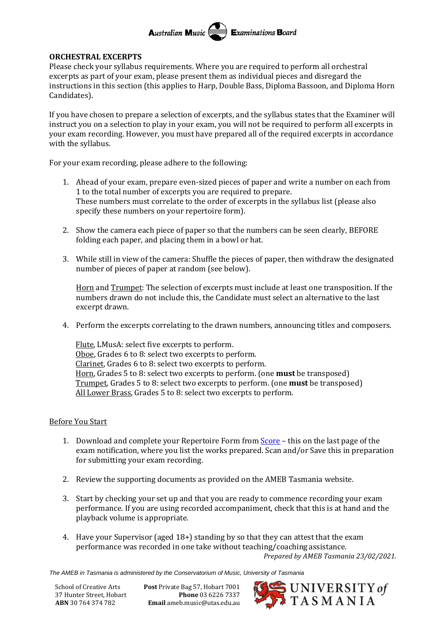#### Australian Music **Examinations Board**

#### **ORCHESTRAL EXCERPTS**

Please check your syllabus requirements. Where you are required to perform all orchestral excerpts as part of your exam, please present them as individual pieces and disregard the instructions in this section (this applies to Harp, Double Bass, Diploma Bassoon, and Diploma Horn Candidates).

If you have chosen to prepare a selection of excerpts, and the syllabus states that the Examiner will instruct you on a selection to play in your exam, you will not be required to perform all excerpts in your exam recording. However, you must have prepared all of the required excerpts in accordance with the syllabus.

For your exam recording, please adhere to the following:

- 1. Ahead of your exam, prepare even-sized pieces of paper and write a number on each from 1 to the total number of excerpts you are required to prepare. These numbers must correlate to the order of excerpts in the syllabus list (please also specify these numbers on your repertoire form).
- 2. Show the camera each piece of paper so that the numbers can be seen clearly, BEFORE folding each paper, and placing them in a bowl or hat.
- 3. While still in view of the camera: Shuffle the pieces of paper, then withdraw the designated number of pieces of paper at random (see below).

Horn and Trumpet: The selection of excerpts must include at least one transposition. If the numbers drawn do not include this, the Candidate must select an alternative to the last excerpt drawn.

4. Perform the excerpts correlating to the drawn numbers, announcing titles and composers.

Flute, LMusA: select five excerpts to perform. Oboe, Grades 6 to 8: select two excerpts to perform. Clarinet, Grades 6 to 8: select two excerpts to perform. Horn, Grades 5 to 8: select two excerpts to perform. (one **must** be transposed) Trumpet, Grades 5 to 8: select two excerpts to perform. (one **must** be transposed) All Lower Brass, Grades 5 to 8: select two excerpts to perform.

## Before You Start

- 1. Download and complete your Repertoire Form from [Score](https://tas.ameb.edu.au/) this on the last page of the exam notification, where you list the works prepared. Scan and/or Save this in preparation for submitting your exam recording.
- 2. Review the supporting documents as provided on the AMEB Tasmania website.
- 3. Start by checking your set up and that you are ready to commence recording your exam performance. If you are using recorded accompaniment, check that this is at hand and the playback volume is appropriate.
- *Prepared by AMEB Tasmania 23/02/2021.* 4. Have your Supervisor (aged 18+) standing by so that they can attest that the exam performance was recorded in one take without teaching/coaching assistance.

*The AMEB in Tasmania is administered by the Conservatorium of Music, University of Tasmania*

School of Creative Arts **Post** Private Bag 57, Hobart 7001 37 Hunter Street, Hobart **Phone** 03 6226 7337 **ABN** 30 764 374 782 **Email** ameb.music@utas.edu.au

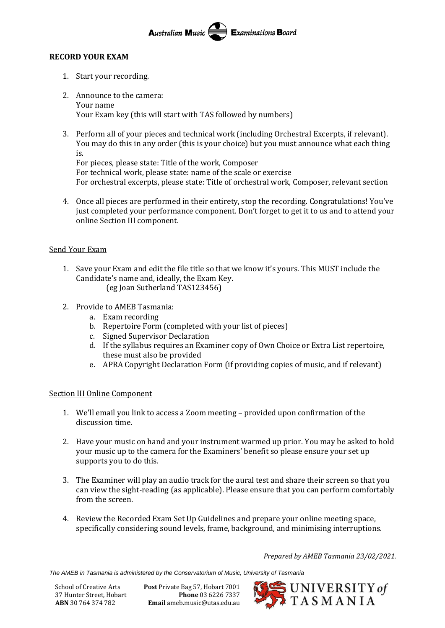#### Australian Music **Examinations Board**

#### **RECORD YOUR EXAM**

- 1. Start your recording.
- 2. Announce to the camera: Your name Your Exam key (this will start with TAS followed by numbers)
- 3. Perform all of your pieces and technical work (including Orchestral Excerpts, if relevant). You may do this in any order (this is your choice) but you must announce what each thing is.

For pieces, please state: Title of the work, Composer For technical work, please state: name of the scale or exercise For orchestral excerpts, please state: Title of orchestral work, Composer, relevant section

4. Once all pieces are performed in their entirety, stop the recording. Congratulations! You've just completed your performance component. Don't forget to get it to us and to attend your online Section III component.

## Send Your Exam

- 1. Save your Exam and edit the file title so that we know it's yours. This MUST include the Candidate's name and, ideally, the Exam Key. (eg Joan Sutherland TAS123456)
	-
- 2. Provide to AMEB Tasmania:
	- a. Exam recording
	- b. Repertoire Form (completed with your list of pieces)
	- c. Signed Supervisor Declaration
	- d. If the syllabus requires an Examiner copy of Own Choice or Extra List repertoire, these must also be provided
	- e. APRA Copyright Declaration Form (if providing copies of music, and if relevant)

#### Section III Online Component

- 1. We'll email you link to access a Zoom meeting provided upon confirmation of the discussion time.
- 2. Have your music on hand and your instrument warmed up prior. You may be asked to hold your music up to the camera for the Examiners' benefit so please ensure your set up supports you to do this.
- 3. The Examiner will play an audio track for the aural test and share their screen so that you can view the sight-reading (as applicable). Please ensure that you can perform comfortably from the screen.
- 4. Review the Recorded Exam Set Up Guidelines and prepare your online meeting space, specifically considering sound levels, frame, background, and minimising interruptions.

*Prepared by AMEB Tasmania 23/02/2021.*

*The AMEB in Tasmania is administered by the Conservatorium of Music, University of Tasmania*